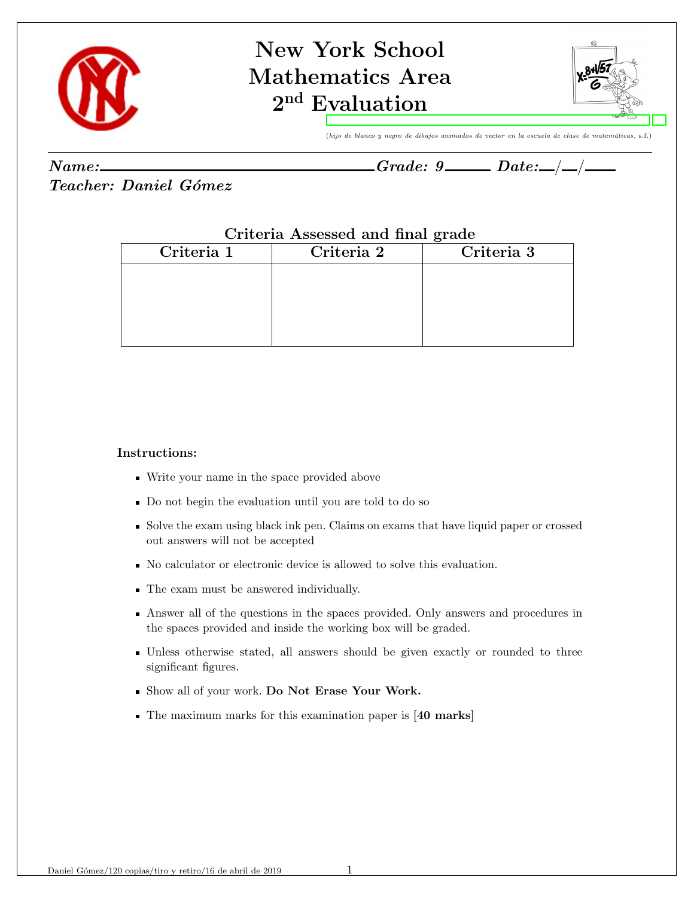

## New York School Mathematics Area  $2^{\mathrm{nd}}$  [Evaluation](#page-2-0)



(hijo de blanco y negro de dibujos animados de vector en la escuela de clase de matemáticas, s.f.)

| Name: | - Q<br>Grade: | $\boldsymbol{\mathit{Date:}}$ |  |
|-------|---------------|-------------------------------|--|
|       |               |                               |  |

Teacher: Daniel Gómez

## Criteria Assessed and final grade

| Criteria 1 | Criteria 2 | Criteria 3 |
|------------|------------|------------|
|            |            |            |
|            |            |            |
|            |            |            |
|            |            |            |

## Instructions:

- Write your name in the space provided above
- Do not begin the evaluation until you are told to do so
- Solve the exam using black ink pen. Claims on exams that have liquid paper or crossed out answers will not be accepted
- No calculator or electronic device is allowed to solve this evaluation.
- The exam must be answered individually.
- Answer all of the questions in the spaces provided. Only answers and procedures in the spaces provided and inside the working box will be graded.
- Unless otherwise stated, all answers should be given exactly or rounded to three significant figures.
- Show all of your work. Do Not Erase Your Work.
- The maximum marks for this examination paper is [40 marks]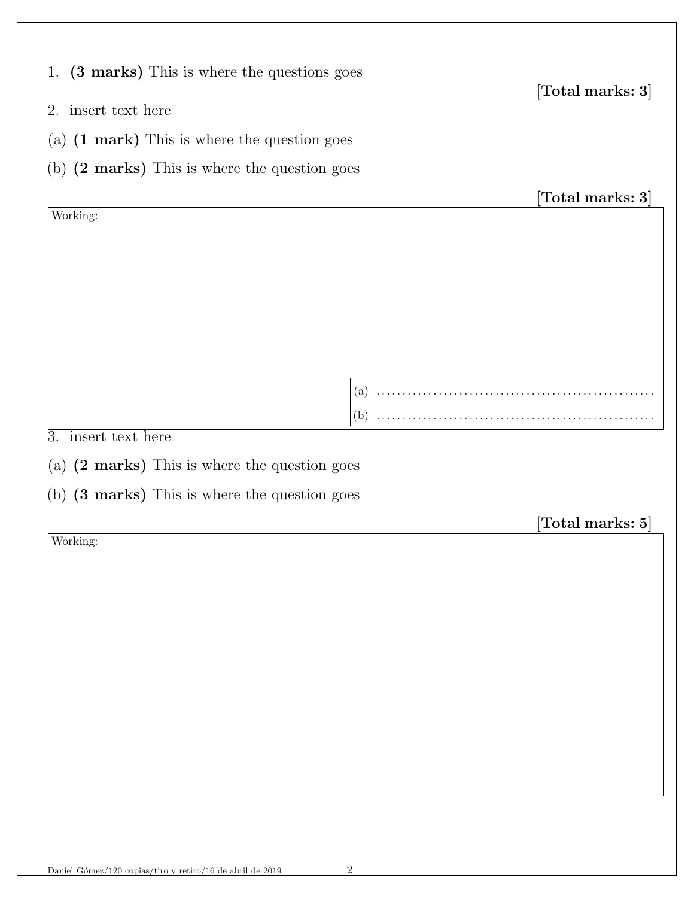| (3 marks) This is where the questions goes<br>1.        |     |                                         |
|---------------------------------------------------------|-----|-----------------------------------------|
| 2. insert text here                                     |     | $[\text{Total marks: 3}]$               |
| (a) $(1 \text{ mark})$ This is where the question goes  |     |                                         |
| (b) $(2 \text{ marks})$ This is where the question goes |     |                                         |
|                                                         |     | $[\hbox{Total marks: 3}]$               |
| Working:                                                |     |                                         |
|                                                         |     |                                         |
|                                                         |     |                                         |
|                                                         |     |                                         |
|                                                         |     |                                         |
|                                                         |     |                                         |
|                                                         | (a) |                                         |
|                                                         |     |                                         |
| insert text here<br>$\overline{3}$ .                    |     |                                         |
| (a) $(2 \text{ marks})$ This is where the question goes |     |                                         |
| (b) (3 marks) This is where the question goes           |     |                                         |
|                                                         |     | $\left[ \text{Total marks: } 5 \right]$ |
| Working:                                                |     |                                         |
|                                                         |     |                                         |
|                                                         |     |                                         |
|                                                         |     |                                         |
|                                                         |     |                                         |
|                                                         |     |                                         |
|                                                         |     |                                         |
|                                                         |     |                                         |
|                                                         |     |                                         |
|                                                         |     |                                         |
|                                                         |     |                                         |